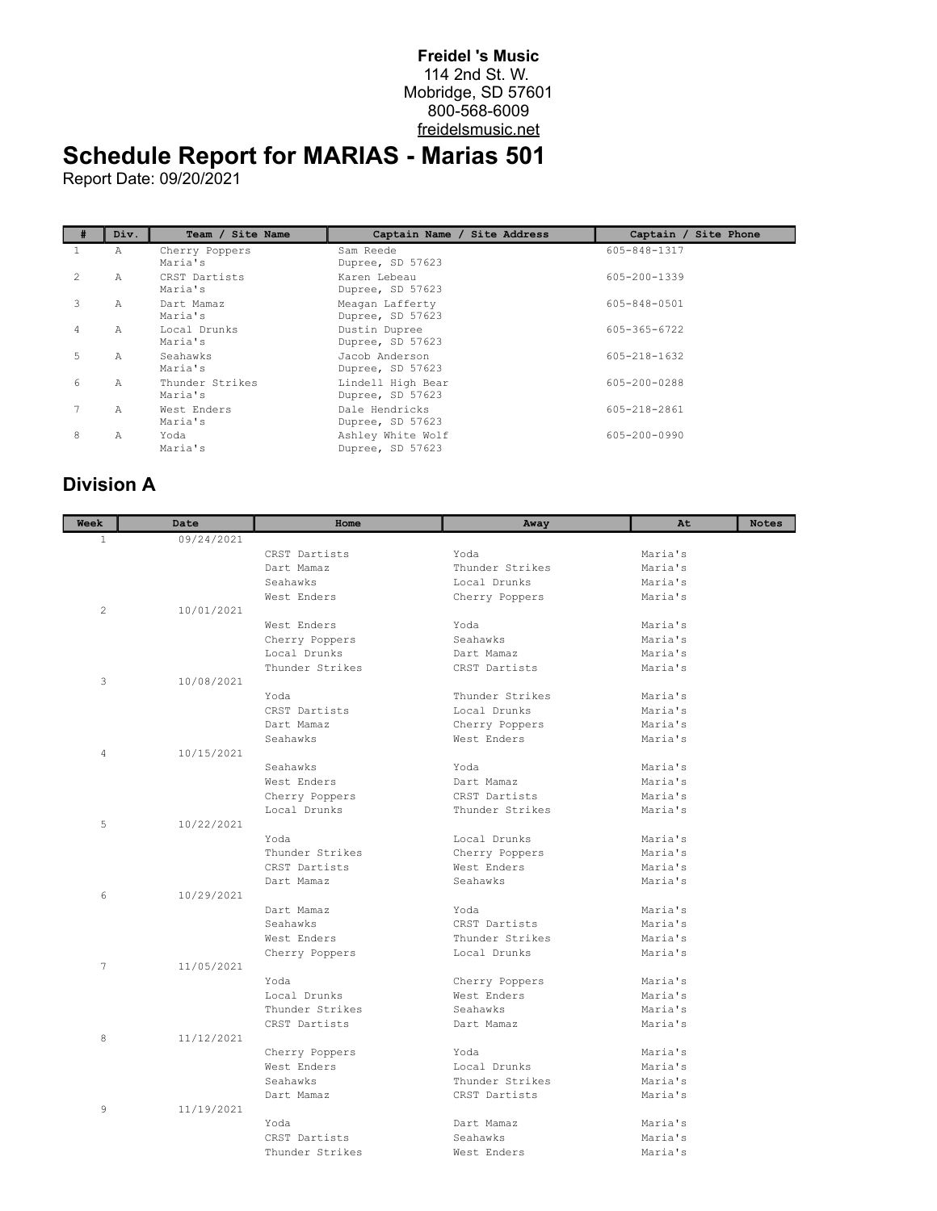## **Freidel 's Music** 114 2nd St. W. Mobridge, SD 57601 800-568-6009 freidelsmusic.net

## **Schedule Report for MARIAS - Marias 501**

Report Date: 09/20/2021

|                | Div. | Team / Site Name           | Captain Name / Site Address           | Captain / Site Phone |
|----------------|------|----------------------------|---------------------------------------|----------------------|
|                | Α    | Cherry Poppers<br>Maria's  | Sam Reede<br>Dupree, SD 57623         | 605-848-1317         |
| $\mathfrak{D}$ | Α    | CRST Dartists<br>Maria's   | Karen Lebeau<br>Dupree, SD 57623      | 605-200-1339         |
| 3              | Α    | Dart Mamaz<br>Maria's      | Meagan Lafferty<br>Dupree, SD 57623   | 605-848-0501         |
| 4              | Α    | Local Drunks<br>Maria's    | Dustin Dupree<br>Dupree, SD 57623     | 605-365-6722         |
| 5              | Α    | Seahawks<br>Maria's        | Jacob Anderson<br>Dupree, SD 57623    | $605 - 218 - 1632$   |
| 6              | Α    | Thunder Strikes<br>Maria's | Lindell High Bear<br>Dupree, SD 57623 | 605-200-0288         |
|                | Α    | West Enders<br>Maria's     | Dale Hendricks<br>Dupree, SD 57623    | 605-218-2861         |
| 8              | A    | Yoda<br>Maria's            | Ashley White Wolf<br>Dupree, SD 57623 | 605-200-0990         |

## **Division A**

| Week           | Date       | Home            | Away            | At                 | <b>Notes</b> |
|----------------|------------|-----------------|-----------------|--------------------|--------------|
| $\mathbf{1}$   | 09/24/2021 |                 |                 |                    |              |
|                |            | CRST Dartists   | Yoda            | Maria's            |              |
|                |            | Dart Mamaz      | Thunder Strikes | Maria's            |              |
|                |            | Seahawks        | Local Drunks    | Maria's            |              |
|                |            | West Enders     | Cherry Poppers  | Maria's            |              |
| $\overline{2}$ | 10/01/2021 |                 |                 |                    |              |
|                |            | West Enders     | Yoda            | Maria's            |              |
|                |            | Cherry Poppers  | Seahawks        | Maria's            |              |
|                |            | Local Drunks    | Dart Mamaz      | Maria's            |              |
|                |            | Thunder Strikes | CRST Dartists   | Maria's            |              |
| 3              | 10/08/2021 |                 |                 |                    |              |
|                |            | Yoda            | Thunder Strikes | Maria's            |              |
|                |            | CRST Dartists   | Local Drunks    | Maria's            |              |
|                |            | Dart Mamaz      | Cherry Poppers  | Maria's            |              |
|                |            | Seahawks        | West Enders     | Maria's            |              |
| 4              | 10/15/2021 |                 |                 |                    |              |
|                |            | Seahawks        | Yoda            | Maria's            |              |
|                |            | West Enders     | Dart Mamaz      | Maria's            |              |
|                |            | Cherry Poppers  | CRST Dartists   | Maria's            |              |
|                |            | Local Drunks    | Thunder Strikes | Maria's            |              |
| 5              | 10/22/2021 |                 |                 |                    |              |
|                |            | Yoda            | Local Drunks    | Maria's            |              |
|                |            | Thunder Strikes | Cherry Poppers  | Maria's            |              |
|                |            | CRST Dartists   | West Enders     | Maria's            |              |
|                |            | Dart Mamaz      | Seahawks        | Maria's            |              |
| 6              | 10/29/2021 |                 |                 |                    |              |
|                |            | Dart Mamaz      | Yoda            | Maria's            |              |
|                |            | Seahawks        | CRST Dartists   | Maria's            |              |
|                |            | West Enders     | Thunder Strikes | Maria's            |              |
|                |            | Cherry Poppers  | Local Drunks    | Maria's            |              |
| 7              | 11/05/2021 |                 |                 |                    |              |
|                |            | Yoda            | Cherry Poppers  | Maria's            |              |
|                |            | Local Drunks    | West Enders     | Maria's            |              |
|                |            | Thunder Strikes | Seahawks        | Maria's            |              |
|                |            | CRST Dartists   | Dart Mamaz      | Maria's            |              |
| 8              | 11/12/2021 |                 |                 |                    |              |
|                |            | Cherry Poppers  | Yoda            | Maria's            |              |
|                |            | West Enders     | Local Drunks    | Maria's            |              |
|                |            | Seahawks        | Thunder Strikes | Maria's            |              |
|                |            | Dart Mamaz      | CRST Dartists   | Maria's            |              |
| 9              | 11/19/2021 | Yoda            | Dart Mamaz      |                    |              |
|                |            | CRST Dartists   | Seahawks        | Maria's<br>Maria's |              |
|                |            |                 |                 |                    |              |
|                |            | Thunder Strikes | West Enders     | Maria's            |              |